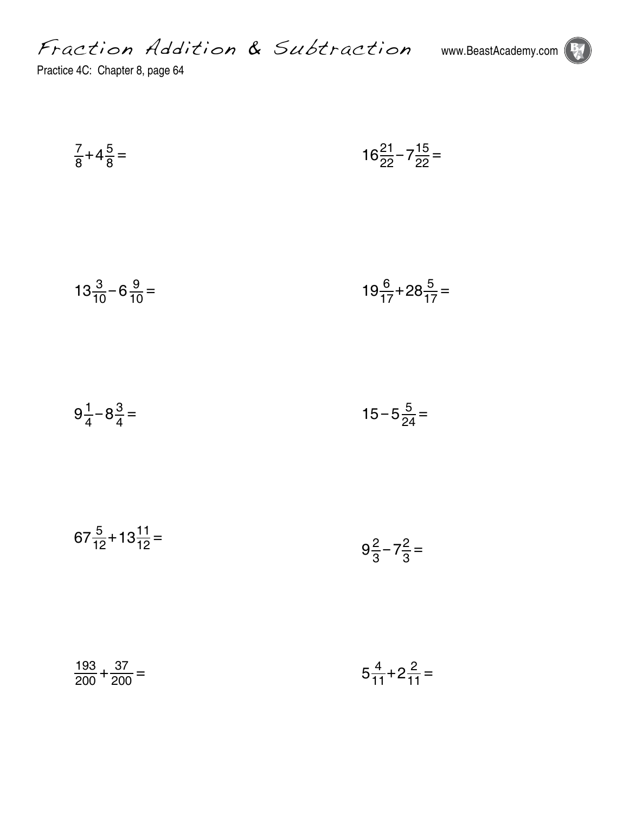Fraction Addition & Subtraction www.BeastAcademy.com



Practice 4C: Chapter 8, page 64

$$
\frac{7}{8} + 4\frac{5}{8} = 16\frac{21}{22} - 7\frac{15}{22} =
$$

$$
13\frac{3}{10} - 6\frac{9}{10} = 19\frac{6}{17} + 28\frac{5}{17} =
$$

$$
9\frac{1}{4} - 8\frac{3}{4} = 15 - 5\frac{5}{24} =
$$

$$
67\frac{5}{12} + 13\frac{11}{12} = 9\frac{2}{3} - 7\frac{2}{3} =
$$

$$
\frac{193}{200} + \frac{37}{200} = 5\frac{4}{11} + 2\frac{2}{11} =
$$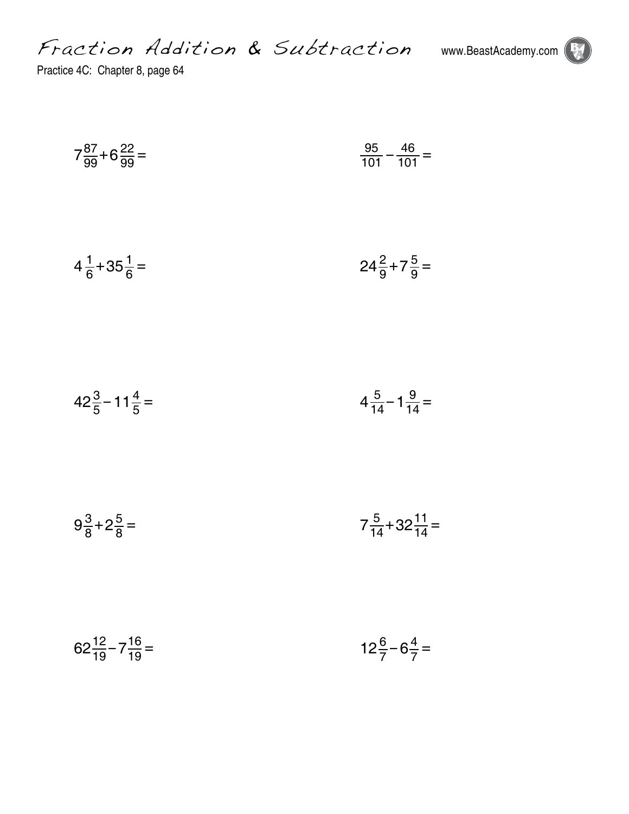Fraction Addition & Subtraction www.BeastAcademy.com



Practice 4C: Chapter 8, page 64

$$
7\frac{87}{99} + 6\frac{22}{99} = \frac{95}{101} - \frac{46}{101} =
$$

$$
4\frac{1}{6} + 35\frac{1}{6} = 24\frac{2}{9} + 7\frac{5}{9} =
$$

$$
42\frac{3}{5} - 11\frac{4}{5} = 4\frac{5}{14} - 1\frac{9}{14} =
$$

$$
9\frac{3}{8} + 2\frac{5}{8} = 7\frac{5}{14} + 32\frac{11}{14} =
$$

$$
62\frac{12}{19} - 7\frac{16}{19} = 12\frac{6}{7} - 6\frac{4}{7} =
$$